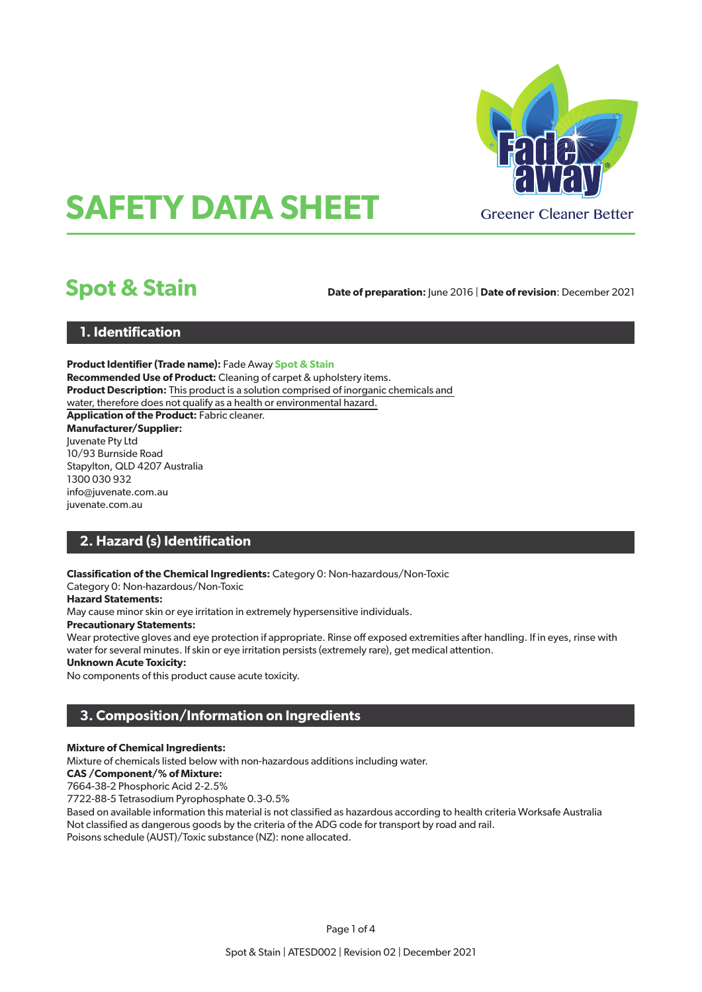

# **SAFETY DATA SHEET**

## **Spot & Stain**

**Date of preparation:** June 2016 | **Date of revision**: December 2021

#### **1. Identification**

**Product Identifier (Trade name):** Fade Away **Spot & Stain Recommended Use of Product:** Cleaning of carpet & upholstery items. **Product Description:** This product is a solution comprised of inorganic chemicals and water, therefore does not qualify as a health or environmental hazard. **Application of the Product:** Fabric cleaner. **Manufacturer/Supplier:** Juvenate Pty Ltd 10/93 Burnside Road Stapylton, QLD 4207 Australia 1300 030 932 info@juvenate.com.au juvenate.com.au

#### **2. Hazard (s) Identification**

**Classification of the Chemical Ingredients:** Category 0: Non-hazardous/Non-Toxic

Category 0: Non-hazardous/Non-Toxic

#### **Hazard Statements:**

May cause minor skin or eye irritation in extremely hypersensitive individuals.

#### **Precautionary Statements:**

Wear protective gloves and eye protection if appropriate. Rinse off exposed extremities after handling. If in eyes, rinse with water for several minutes. If skin or eye irritation persists (extremely rare), get medical attention.

#### **Unknown Acute Toxicity:**

No components of this product cause acute toxicity.

#### **3. Composition/Information on Ingredients**

#### **Mixture of Chemical Ingredients:**

Mixture of chemicals listed below with non-hazardous additions including water.

#### **CAS /Component/% of Mixture:**

7664-38-2 Phosphoric Acid 2-2.5%

7722-88-5 Tetrasodium Pyrophosphate 0.3-0.5%

Based on available information this material is not classified as hazardous according to health criteria Worksafe Australia Not classified as dangerous goods by the criteria of the ADG code for transport by road and rail. Poisons schedule (AUST)/Toxic substance (NZ): none allocated.

Page 1 of 4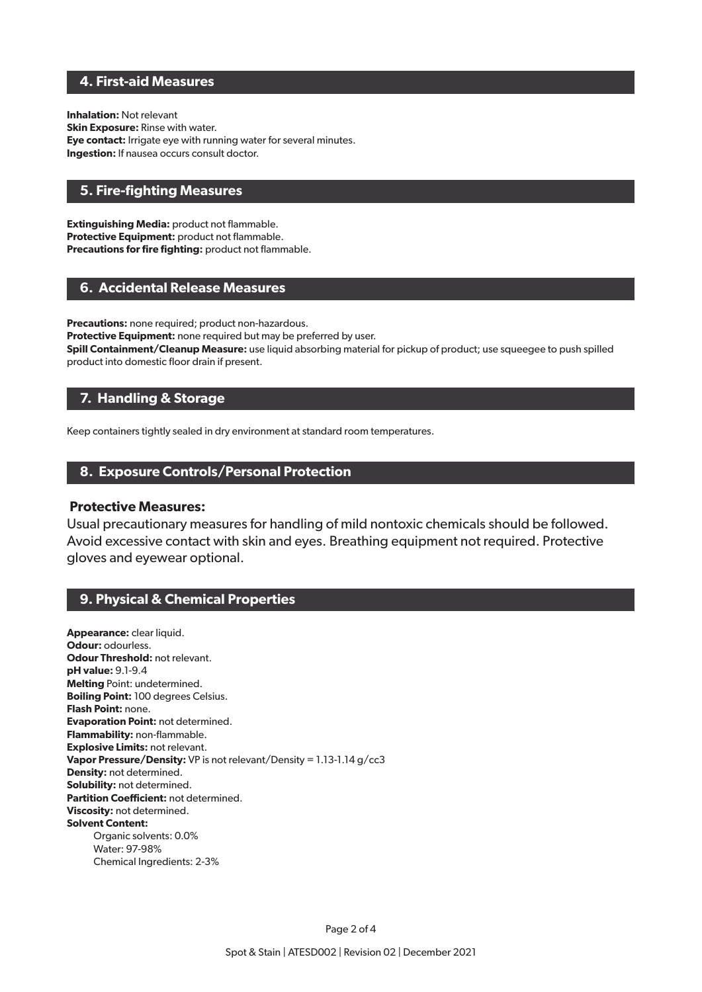#### **4. First-aid Measures**

**Inhalation:** Not relevant **Skin Exposure:** Rinse with water. **Eye contact:** Irrigate eye with running water for several minutes. **Ingestion:** If nausea occurs consult doctor.

#### **5. Fire-fighting Measures**

**Extinguishing Media:** product not flammable. **Protective Equipment:** product not flammable. **Precautions for fire fighting:** product not flammable.

#### **6. Accidental Release Measures**

**Precautions:** none required; product non-hazardous. Protective Equipment: none required but may be preferred by user. **Spill Containment/Cleanup Measure:** use liquid absorbing material for pickup of product; use squeegee to push spilled product into domestic floor drain if present.

#### **7. Handling & Storage**

Keep containers tightly sealed in dry environment at standard room temperatures.

#### **8. Exposure Controls/Personal Protection**

#### **Protective Measures:**

Usual precautionary measures for handling of mild nontoxic chemicals should be followed. Avoid excessive contact with skin and eyes. Breathing equipment not required. Protective gloves and eyewear optional.

#### **9. Physical & Chemical Properties**

**Appearance:** clear liquid. **Odour:** odourless. **Odour Threshold: not relevant. pH value:** 9.1-9.4 **Melting** Point: undetermined. **Boiling Point:** 100 degrees Celsius. **Flash Point:** none. **Evaporation Point:** not determined. **Flammability:** non-flammable. **Explosive Limits:** not relevant. **Vapor Pressure/Density:** VP is not relevant/Density = 1.13-1.14 g/cc3 **Density:** not determined. **Solubility:** not determined. **Partition Coefficient:** not determined. **Viscosity:** not determined. **Solvent Content:** Organic solvents: 0.0% Water: 97-98% Chemical Ingredients: 2-3%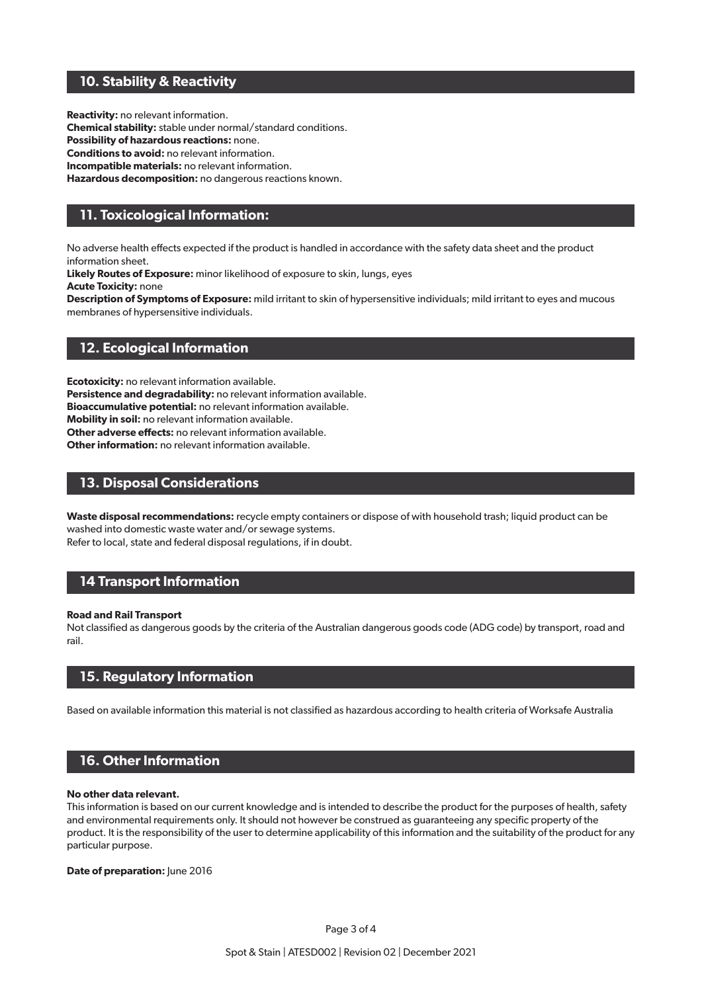#### **10. Stability & Reactivity**

**Reactivity:** no relevant information. **Chemical stability:** stable under normal/standard conditions. **Possibility of hazardous reactions:** none. **Conditions to avoid:** no relevant information. **Incompatible materials:** no relevant information. **Hazardous decomposition:** no dangerous reactions known.

### **11. Toxicological Information:**

No adverse health effects expected if the product is handled in accordance with the safety data sheet and the product information sheet.

**Likely Routes of Exposure:** minor likelihood of exposure to skin, lungs, eyes

**Acute Toxicity:** none

**Description of Symptoms of Exposure:** mild irritant to skin of hypersensitive individuals; mild irritant to eyes and mucous membranes of hypersensitive individuals.

#### **12. Ecological Information**

**Ecotoxicity:** no relevant information available. **Persistence and degradability:** no relevant information available. **Bioaccumulative potential:** no relevant information available. **Mobility in soil:** no relevant information available. **Other adverse effects:** no relevant information available.

**Other information:** no relevant information available.

#### **13. Disposal Considerations**

**Waste disposal recommendations:** recycle empty containers or dispose of with household trash; liquid product can be washed into domestic waste water and/or sewage systems. Refer to local, state and federal disposal regulations, if in doubt.

#### **14 Transport Information**

#### **Road and Rail Transport**

Not classified as dangerous goods by the criteria of the Australian dangerous goods code (ADG code) by transport, road and rail.

#### **15. Regulatory Information**

Based on available information this material is not classified as hazardous according to health criteria of Worksafe Australia

#### **16. Other Information**

#### **No other data relevant.**

This information is based on our current knowledge and is intended to describe the product for the purposes of health, safety and environmental requirements only. It should not however be construed as guaranteeing any specific property of the product. It is the responsibility of the user to determine applicability of this information and the suitability of the product for any particular purpose.

**Date of preparation:** June 2016

Page 3 of 4